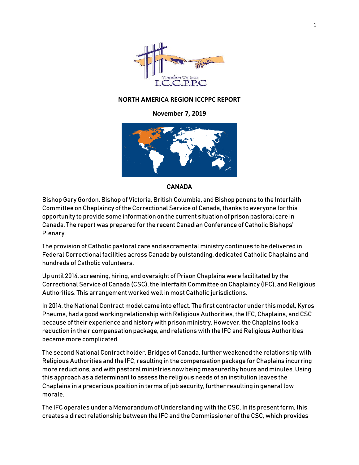

## **NORTH AMERICA REGION ICCPPC REPORT**

## **November 7, 2019**



## CANADA

Bishop Gary Gordon, Bishop of Victoria, British Columbia, and Bishop ponens to the Interfaith Committee on Chaplaincy of the Correctional Service of Canada, thanks to everyone for this opportunity to provide some information on the current situation of prison pastoral care in Canada. The report was prepared for the recent Canadian Conference of Catholic Bishops' Plenary.

The provision of Catholic pastoral care and sacramental ministry continues to be delivered in Federal Correctional facilities across Canada by outstanding, dedicated Catholic Chaplains and hundreds of Catholic volunteers.

Up until 2014, screening, hiring, and oversight of Prison Chaplains were facilitated by the Correctional Service of Canada (CSC), the Interfaith Committee on Chaplaincy (IFC), and Religious Authorities. This arrangement worked well in most Catholic jurisdictions.

In 2014, the National Contract model came into effect. The first contractor under this model, Kyros Pneuma, had a good working relationship with Religious Authorities, the IFC, Chaplains, and CSC because of their experience and history with prison ministry. However, the Chaplains took a reduction in their compensation package, and relations with the IFC and Religious Authorities became more complicated.

The second National Contract holder, Bridges of Canada, further weakened the relationship with Religious Authorities and the IFC, resulting in the compensation package for Chaplains incurring more reductions, and with pastoral ministries now being measured by hours and minutes. Using this approach as a determinant to assess the religious needs of an institution leaves the Chaplains in a precarious position in terms of job security, further resulting in general low morale.

The IFC operates under a Memorandum of Understanding with the CSC. In its present form, this creates a direct relationship between the IFC and the Commissioner of the CSC, which provides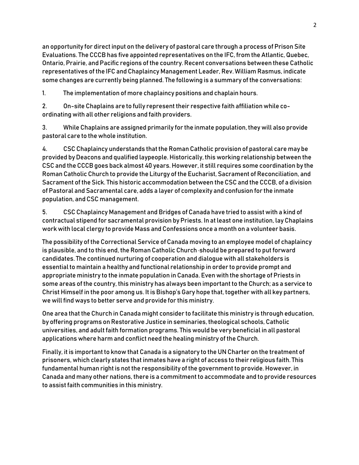an opportunity for direct input on the delivery of pastoral care through a process of Prison Site Evaluations. The CCCB has five appointed representatives on the IFC, from the Atlantic, Quebec, Ontario, Prairie, and Pacific regions of the country. Recent conversations between these Catholic representatives of the IFC and Chaplaincy Management Leader, Rev. William Rasmus, indicate some changes are currently being planned. The following is a summary of the conversations:

1. The implementation of more chaplaincy positions and chaplain hours.

2. On-site Chaplains are to fully represent their respective faith affiliation while coordinating with all other religions and faith providers.

3. While Chaplains are assigned primarily for the inmate population, they will also provide pastoral care to the whole institution.

4. CSC Chaplaincy understands that the Roman Catholic provision of pastoral care may be provided by Deacons and qualified laypeople. Historically, this working relationship between the CSC and the CCCB goes back almost 40 years. However, it still requires some coordination by the Roman Catholic Church to provide the Liturgy of the Eucharist, Sacrament of Reconciliation, and Sacrament of the Sick. This historic accommodation between the CSC and the CCCB, of a division of Pastoral and Sacramental care, adds a layer of complexity and confusion for the inmate population, and CSC management.

5. CSC Chaplaincy Management and Bridges of Canada have tried to assist with a kind of contractual stipend for sacramental provision by Priests. In at least one institution, lay Chaplains work with local clergy to provide Mass and Confessions once a month on a volunteer basis.

The possibility of the Correctional Service of Canada moving to an employee model of chaplaincy is plausible, and to this end, the Roman Catholic Church ·should be prepared to put forward candidates. The continued nurturing of cooperation and dialogue with all stakeholders is essential to maintain a healthy and functional relationship in order to provide prompt and appropriate ministry to the inmate population in Canada. Even with the shortage of Priests in some areas of the country, this ministry has always been important to the Church; as a service to Christ Himself in the poor among us. It is Bishop's Gary hope that, together with all key partners, we will find ways to better serve and provide for this ministry.

One area that the Church in Canada might consider to facilitate this ministry is through education, by offering programs on Restorative Justice in seminaries, theological schools, Catholic universities, and adult faith formation programs. This would be very beneficial in all pastoral applications where harm and conflict need the healing ministry of the Church.

Finally, it is important to know that Canada is a signatory to the UN Charter on the treatment of prisoners, which clearly states that inmates have a right of access to their religious faith. This fundamental human right is not the responsibility of the government to provide. However, in Canada and many other nations, there is a commitment to accommodate and to provide resources to assist faith communities in this ministry.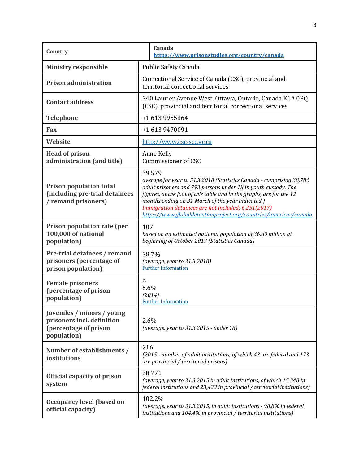| Country                                                                                          |                                                                                                                                                                                                                                                                                                                                                                                                         | Canada<br>https://www.prisonstudies.org/country/canada |  |
|--------------------------------------------------------------------------------------------------|---------------------------------------------------------------------------------------------------------------------------------------------------------------------------------------------------------------------------------------------------------------------------------------------------------------------------------------------------------------------------------------------------------|--------------------------------------------------------|--|
| <b>Ministry responsible</b>                                                                      | <b>Public Safety Canada</b>                                                                                                                                                                                                                                                                                                                                                                             |                                                        |  |
| <b>Prison administration</b>                                                                     | Correctional Service of Canada (CSC), provincial and<br>territorial correctional services                                                                                                                                                                                                                                                                                                               |                                                        |  |
| <b>Contact address</b>                                                                           | 340 Laurier Avenue West, Ottawa, Ontario, Canada K1A 0PQ<br>(CSC), provincial and territorial correctional services                                                                                                                                                                                                                                                                                     |                                                        |  |
| <b>Telephone</b>                                                                                 | +1 613 9955364                                                                                                                                                                                                                                                                                                                                                                                          |                                                        |  |
| Fax                                                                                              | +1 613 9470091                                                                                                                                                                                                                                                                                                                                                                                          |                                                        |  |
| Website                                                                                          | http://www.csc-scc.gc.ca                                                                                                                                                                                                                                                                                                                                                                                |                                                        |  |
| <b>Head of prison</b><br>administration (and title)                                              | Anne Kelly<br>Commissioner of CSC                                                                                                                                                                                                                                                                                                                                                                       |                                                        |  |
| <b>Prison population total</b><br>(including pre-trial detainees<br>/ remand prisoners)          | 39579<br>average for year to 31.3.2018 (Statistics Canada - comprising 38,786<br>adult prisoners and 793 persons under 18 in youth custody. The<br>figures, at the foot of this table and in the graphs, are for the 12<br>months ending on 31 March of the year indicated.)<br>Immigration detainees are not included: 6,251(2017)<br>https://www.globaldetentionproject.org/countries/americas/canada |                                                        |  |
| Prison population rate (per<br>100,000 of national<br>population)                                | 107<br>based on an estimated national population of 36.89 million at<br>beginning of October 2017 (Statistics Canada)                                                                                                                                                                                                                                                                                   |                                                        |  |
| Pre-trial detainees / remand<br>prisoners (percentage of<br>prison population)                   | 38.7%<br>(average, year to 31.3.2018)<br><b>Further Information</b>                                                                                                                                                                                                                                                                                                                                     |                                                        |  |
| <b>Female prisoners</b><br>(percentage of prison<br>population)                                  | c.<br>5.6%<br>(2014)<br><b>Further Information</b>                                                                                                                                                                                                                                                                                                                                                      |                                                        |  |
| Juveniles / minors / young<br>prisoners incl. definition<br>(percentage of prison<br>population) | 2.6%<br>(average, year to 31.3.2015 - under 18)                                                                                                                                                                                                                                                                                                                                                         |                                                        |  |
| Number of establishments /<br>institutions                                                       | 216<br>(2015 - number of adult institutions, of which 43 are federal and 173<br>are provincial / territorial prisons)                                                                                                                                                                                                                                                                                   |                                                        |  |
| <b>Official capacity of prison</b><br>system                                                     | 38771<br>(average, year to 31.3.2015 in adult institutions, of which 15,348 in<br>federal institutions and 23,423 in provincial / territorial institutions)                                                                                                                                                                                                                                             |                                                        |  |
| <b>Occupancy level (based on</b><br>official capacity)                                           | 102.2%<br>(average, year to 31.3.2015, in adult institutions - 98.8% in federal<br>institutions and 104.4% in provincial / territorial institutions)                                                                                                                                                                                                                                                    |                                                        |  |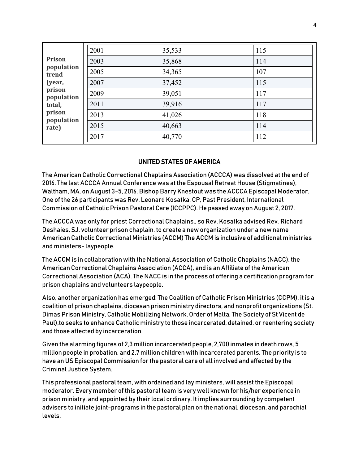|                      | 2001 | 35,533 | 115 |
|----------------------|------|--------|-----|
| <b>Prison</b>        | 2003 | 35,868 | 114 |
| population<br>trend  | 2005 | 34,365 | 107 |
| (year,               | 2007 | 37,452 | 115 |
| prison<br>population | 2009 | 39,051 | 117 |
| total,               | 2011 | 39,916 | 117 |
| prison<br>population | 2013 | 41,026 | 118 |
| rate)                | 2015 | 40,663 | 114 |
|                      | 2017 | 40,770 | 112 |
|                      |      |        |     |

## UNITED STATES OF AMERICA

The American Catholic Correctional Chaplains Association (ACCCA) was dissolved at the end of 2016. The last ACCCA Annual Conference was at the Espousal Retreat House (Stigmatines), Waltham, MA, on August 3-5, 2016. Bishop Barry Knestout was the ACCCA Episcopal Moderator. One of the 26 participants was Rev. Leonard Kosatka, CP, Past President, International Commission of Catholic Prison Pastoral Care (ICCPPC). He passed away on August 2, 2017.

The ACCCA was only for priest Correctional Chaplains., so Rev. Kosatka advised Rev. Richard Deshaies, SJ, volunteer prison chaplain, to create a new organization under a new name American Catholic Correctional Ministries (ACCM) The ACCM is inclusive of additional ministries and ministers- laypeople.

The ACCM is in collaboration with the National Association of Catholic Chaplains (NACC), the American Correctional Chaplains Association (ACCA), and is an Affiliate of the American Correctional Association (ACA). The NACC is in the process of offering a certification program for prison chaplains and volunteers laypeople.

Also, another organization has emerged: The Coalition of Catholic Prison Ministries (CCPM), it is a coalition of prison chaplains, diocesan prison ministry directors, and nonprofit organizations (St. Dimas Prison Ministry, Catholic Mobilizing Network, Order of Malta, The Society of St Vicent de Paul),to seeks to enhance Catholic ministry to those incarcerated, detained, or reentering society and those affected by incarceration.

Given the alarming figures of 2,3 million incarcerated people, 2,700 inmates in death rows, 5 million people in probation, and 2.7 million children with incarcerated parents. The priority is to have an US Episcopal Commission for the pastoral care of all involved and affected by the Criminal Justice System.

This professional pastoral team, with ordained and lay ministers, will assist the Episcopal moderator. Every member of this pastoral team is very well known for his/her experience in prison ministry, and appointed by their local ordinary. It implies surrounding by competent advisers to initiate joint-programs in the pastoral plan on the national, diocesan, and parochial levels.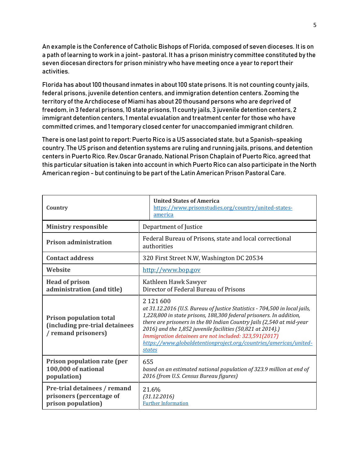An example is the Conference of Catholic Bishops of Florida, composed of seven dioceses. It is on a path of learning to work in a joint- pastoral. It has a prison ministry committee constituted by the seven diocesan directors for prison ministry who have meeting once a year to report their activities.

Florida has about 100 thousand inmates in about 100 state prisons. It is not counting county jails, federal prisons, juvenile detention centers, and immigration detention centers. Zooming the territory of the Archdiocese of Miami has about 20 thousand persons who are deprived of freedom, in 3 federal prisons, 10 state prisons, 11 county jails, 3 juvenile detention centers, 2 immigrant detention centers, 1 mental evualation and treatment center for those who have committed crimes, and 1 temporary closed center for unaccompanied immigrant children.

There is one last point to report: Puerto Rico is a US associated state, but a Spanish-speaking country. The US prison and detention systems are ruling and running jails, prisons, and detention centers in Puerto Rico. Rev.Oscar Granado, National Prison Chaplain of Puerto Rico, agreed that this particular situation is taken into account in which Puerto Rico can also participate in the North American region - but continuing to be part of the Latin American Prison Pastoral Care.

| Country                                                                                 | <b>United States of America</b><br>https://www.prisonstudies.org/country/united-states-<br>america                                                                                                                                                                                                                                                                                                                                                |  |
|-----------------------------------------------------------------------------------------|---------------------------------------------------------------------------------------------------------------------------------------------------------------------------------------------------------------------------------------------------------------------------------------------------------------------------------------------------------------------------------------------------------------------------------------------------|--|
| <b>Ministry responsible</b>                                                             | Department of Justice                                                                                                                                                                                                                                                                                                                                                                                                                             |  |
| <b>Prison administration</b>                                                            | Federal Bureau of Prisons, state and local correctional<br>authorities                                                                                                                                                                                                                                                                                                                                                                            |  |
| <b>Contact address</b>                                                                  | 320 First Street N.W, Washington DC 20534                                                                                                                                                                                                                                                                                                                                                                                                         |  |
| Website                                                                                 | http://www.bop.gov                                                                                                                                                                                                                                                                                                                                                                                                                                |  |
| <b>Head of prison</b><br>administration (and title)                                     | Kathleen Hawk Sawyer<br>Director of Federal Bureau of Prisons                                                                                                                                                                                                                                                                                                                                                                                     |  |
| <b>Prison population total</b><br>(including pre-trial detainees<br>/ remand prisoners) | 2 1 2 1 6 0 0<br>at 31.12.2016 (U.S. Bureau of Justice Statistics - 704,500 in local jails,<br>1,228,800 in state prisons, 188,300 federal prisoners. In addition,<br>there are prisoners in the 80 Indian Country Jails (2,540 at mid-year<br>2016) and the 1,852 juvenile facilities (50,821 at 2014).)<br>Immigration detainees are not included: 323,591(2017)<br>https://www.globaldetentionproject.org/countries/americas/united-<br>states |  |
| Prison population rate (per<br>100,000 of national<br>population)                       | 655<br>based on an estimated national population of 323.9 million at end of<br>2016 (from U.S. Census Bureau figures)                                                                                                                                                                                                                                                                                                                             |  |
| Pre-trial detainees / remand<br>prisoners (percentage of<br>prison population)          | 21.6%<br>(31.12.2016)<br><b>Further Information</b>                                                                                                                                                                                                                                                                                                                                                                                               |  |